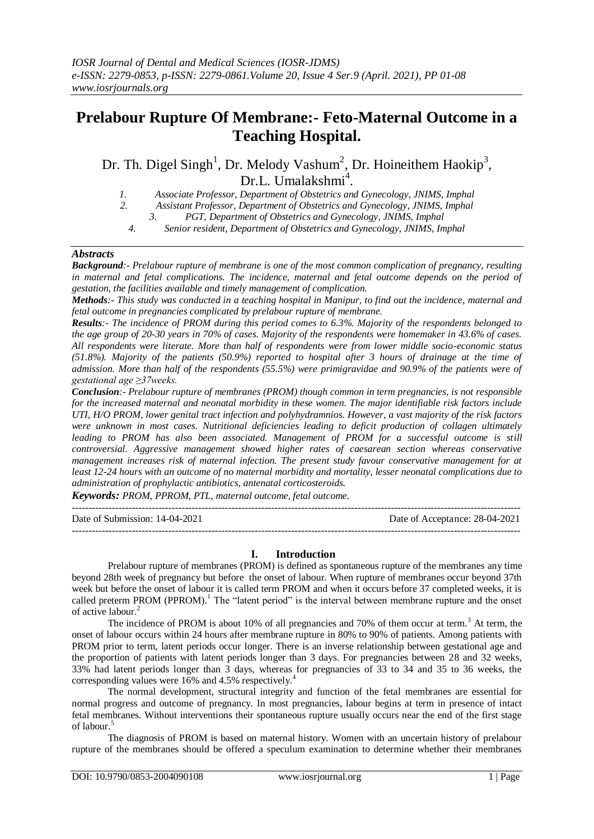# **Prelabour Rupture Of Membrane:- Feto-Maternal Outcome in a Teaching Hospital.**

Dr. Th. Digel Singh<sup>1</sup>, Dr. Melody Vashum<sup>2</sup>, Dr. Hoineithem Haokip<sup>3</sup>, Dr.L. Umalakshmi<sup>4</sup>.

- *1. Associate Professor, Department of Obstetrics and Gynecology, JNIMS, Imphal*
- *2. Assistant Professor, Department of Obstetrics and Gynecology, JNIMS, Imphal*
	- *3. PGT, Department of Obstetrics and Gynecology, JNIMS, Imphal*
	- *4. Senior resident, Department of Obstetrics and Gynecology, JNIMS, Imphal*

### *Abstracts*

*Background:- Prelabour rupture of membrane is one of the most common complication of pregnancy, resulting in maternal and fetal complications. The incidence, maternal and fetal outcome depends on the period of gestation, the facilities available and timely management of complication.* 

*Methods:- This study was conducted in a teaching hospital in Manipur, to find out the incidence, maternal and fetal outcome in pregnancies complicated by prelabour rupture of membrane.*

*Results:- The incidence of PROM during this period comes to 6.3%. Majority of the respondents belonged to the age group of 20-30 years in 70% of cases. Majority of the respondents were homemaker in 43.6% of cases. All respondents were literate. More than half of respondents were from lower middle socio-economic status (51.8%). Majority of the patients (50.9%) reported to hospital after 3 hours of drainage at the time of admission. More than half of the respondents (55.5%) were primigravidae and 90.9% of the patients were of gestational age ≥37weeks.*

*Conclusion:- Prelabour rupture of membranes (PROM) though common in term pregnancies, is not responsible for the increased maternal and neonatal morbidity in these women. The major identifiable risk factors include UTI, H/O PROM, lower genital tract infection and polyhydramnios. However, a vast majority of the risk factors were unknown in most cases. Nutritional deficiencies leading to deficit production of collagen ultimately leading to PROM has also been associated. Management of PROM for a successful outcome is still controversial. Aggressive management showed higher rates of caesarean section whereas conservative management increases risk of maternal infection. The present study favour conservative management for at least 12-24 hours with an outcome of no maternal morbidity and mortality, lesser neonatal complications due to administration of prophylactic antibiotics, antenatal corticosteroids.* 

*Keywords: PROM, PPROM, PTL, maternal outcome, fetal outcome.* 

---------------------------------------------------------------------------------------------------------------------------------------

Date of Submission: 14-04-2021 Date of Acceptance: 28-04-2021

 $-1-\frac{1}{2}$ 

### **I. Introduction**

Prelabour rupture of membranes (PROM) is defined as spontaneous rupture of the membranes any time beyond 28th week of pregnancy but before the onset of labour. When rupture of membranes occur beyond 37th week but before the onset of labour it is called term PROM and when it occurs before 37 completed weeks, it is called preterm PROM (PPROM).<sup>1</sup> The "latent period" is the interval between membrane rupture and the onset of active labour.<sup>2</sup>

The incidence of PROM is about 10% of all pregnancies and 70% of them occur at term.<sup>3</sup> At term, the onset of labour occurs within 24 hours after membrane rupture in 80% to 90% of patients. Among patients with PROM prior to term, latent periods occur longer. There is an inverse relationship between gestational age and the proportion of patients with latent periods longer than 3 days. For pregnancies between 28 and 32 weeks, 33% had latent periods longer than 3 days, whereas for pregnancies of 33 to 34 and 35 to 36 weeks, the corresponding values were 16% and 4.5% respectively.<sup>4</sup>

The normal development, structural integrity and function of the fetal membranes are essential for normal progress and outcome of pregnancy. In most pregnancies, labour begins at term in presence of intact fetal membranes. Without interventions their spontaneous rupture usually occurs near the end of the first stage of labour.<sup>5</sup>

The diagnosis of PROM is based on maternal history. Women with an uncertain history of prelabour rupture of the membranes should be offered a speculum examination to determine whether their membranes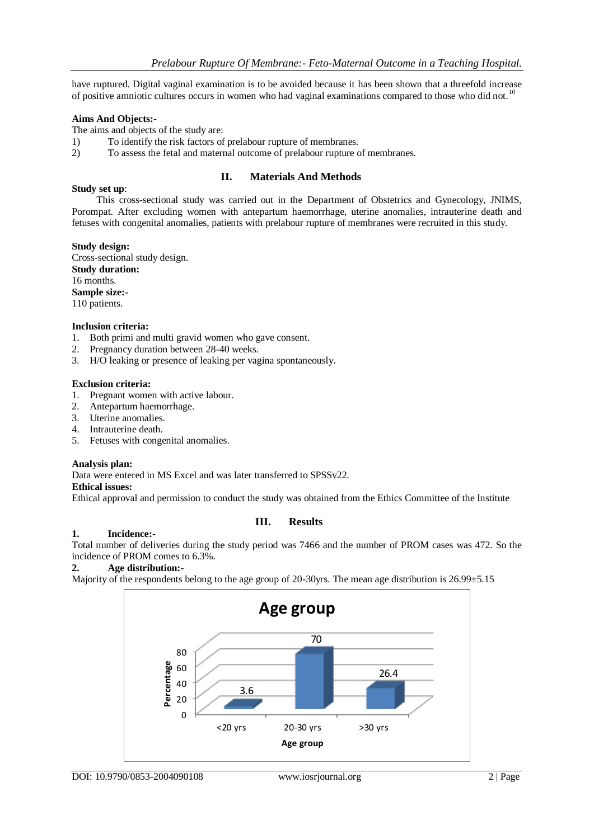have ruptured. Digital vaginal examination is to be avoided because it has been shown that a threefold increase of positive amniotic cultures occurs in women who had vaginal examinations compared to those who did not.<sup>10</sup>

## **Aims And Objects:-**

The aims and objects of the study are:

- 1) To identify the risk factors of prelabour rupture of membranes.
- 2) To assess the fetal and maternal outcome of prelabour rupture of membranes.

### **II. Materials And Methods**

#### **Study set up**:

 This cross-sectional study was carried out in the Department of Obstetrics and Gynecology, JNIMS, Porompat. After excluding women with antepartum haemorrhage, uterine anomalies, intrauterine death and fetuses with congenital anomalies, patients with prelabour rupture of membranes were recruited in this study.

#### **Study design:**

Cross-sectional study design. **Study duration:** 16 months. **Sample size:-** 110 patients.

#### **Inclusion criteria:**

- 1. Both primi and multi gravid women who gave consent.
- 2. Pregnancy duration between 28-40 weeks.
- 3. H/O leaking or presence of leaking per vagina spontaneously.

#### **Exclusion criteria:**

- 1. Pregnant women with active labour.
- 2. Antepartum haemorrhage.
- 3. Uterine anomalies.
- 4. Intrauterine death.
- 5. Fetuses with congenital anomalies.

### **Analysis plan:**

Data were entered in MS Excel and was later transferred to SPSSv22.

#### **Ethical issues:**

Ethical approval and permission to conduct the study was obtained from the Ethics Committee of the Institute

**III. Results**

#### **1. Incidence:-**

Total number of deliveries during the study period was 7466 and the number of PROM cases was 472. So the incidence of PROM comes to 6.3%.

## **2. Age distribution:-**

Majority of the respondents belong to the age group of 20-30yrs. The mean age distribution is 26.99±5.15

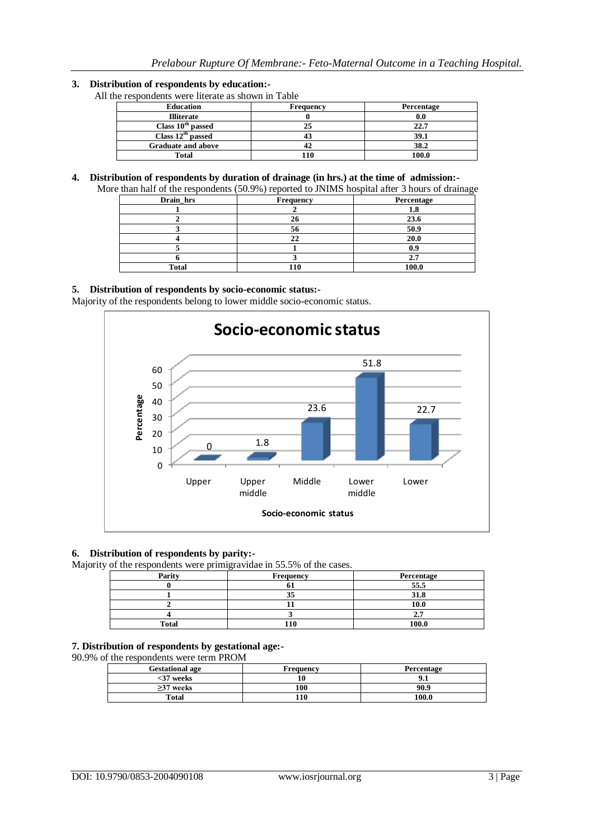## **3. Distribution of respondents by education:-**

All the respondents were literate as shown in Table

| <b>Education</b>              | Frequency | Percentage |
|-------------------------------|-----------|------------|
| <b>Illiterate</b>             |           |            |
| Class 10 <sup>th</sup> passed |           | 22.7       |
| Class $12th$ passed           |           | 39.1       |
| <b>Graduate and above</b>     |           | 38.2       |
| Total                         | 10        | 100.0      |

#### **4. Distribution of respondents by duration of drainage (in hrs.) at the time of admission:-**

| Drain hrs | Frequency | Percentage |
|-----------|-----------|------------|
|           |           |            |
|           |           | 23.6       |
|           |           | 50.9       |
|           |           | 20.0       |
|           |           |            |
|           |           |            |
| Total     |           | 100.0      |

## **5. Distribution of respondents by socio-economic status:-**

Majority of the respondents belong to lower middle socio-economic status.



### **6. Distribution of respondents by parity:-**

Majority of the respondents were primigravidae in 55.5% of the cases.

| Parity       | c<br><b>Frequency</b> | Percentage |
|--------------|-----------------------|------------|
|              |                       | 55.5       |
|              |                       | 31.8       |
|              |                       | 10.0       |
|              |                       |            |
| <b>Total</b> | 110                   | 100.0      |

#### **7. Distribution of respondents by gestational age:-**

90.9% of the respondents were term PROM

| <b>Gestational age</b> | Frequency | Percentage |
|------------------------|-----------|------------|
| <37 weeks              |           |            |
| $>37$ weeks            | 100       | 90.9       |
| Total                  |           | 100.0      |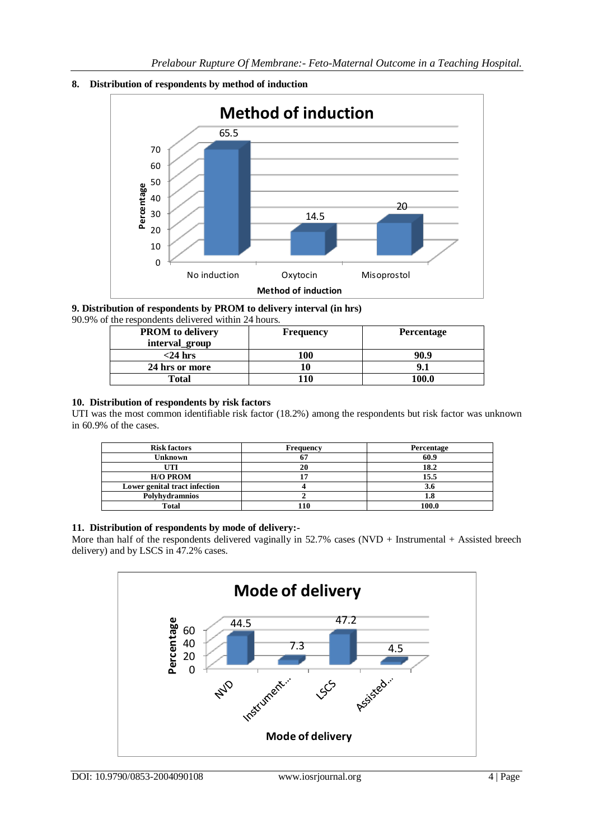



#### **9. Distribution of respondents by PROM to delivery interval (in hrs)** 90.9% of the respondents delivered within 24 hours.

| $\mu$ . The respondents defined whill $\mu$ and $\mu$ |                   |  |  |
|-------------------------------------------------------|-------------------|--|--|
| <b>Frequency</b>                                      | <b>Percentage</b> |  |  |
|                                                       |                   |  |  |
| 100                                                   | 90.9              |  |  |
|                                                       | 9.1               |  |  |
| 110                                                   | 100.0             |  |  |
|                                                       |                   |  |  |

## **10. Distribution of respondents by risk factors**

UTI was the most common identifiable risk factor (18.2%) among the respondents but risk factor was unknown in 60.9% of the cases.

| <b>Risk factors</b>           | Frequency | Percentage |
|-------------------------------|-----------|------------|
| <b>Unknown</b>                | n.        | 60.9       |
| UTI                           | 20        | 18.2       |
| <b>H/O PROM</b>               | . .       | 15.5       |
| Lower genital tract infection |           | 3.6        |
| Polyhydramnios                |           | 1.ð        |
| Total                         |           | 100.0      |

## **11. Distribution of respondents by mode of delivery:-**

More than half of the respondents delivered vaginally in  $52.7\%$  cases (NVD + Instrumental + Assisted breech delivery) and by LSCS in 47.2% cases.

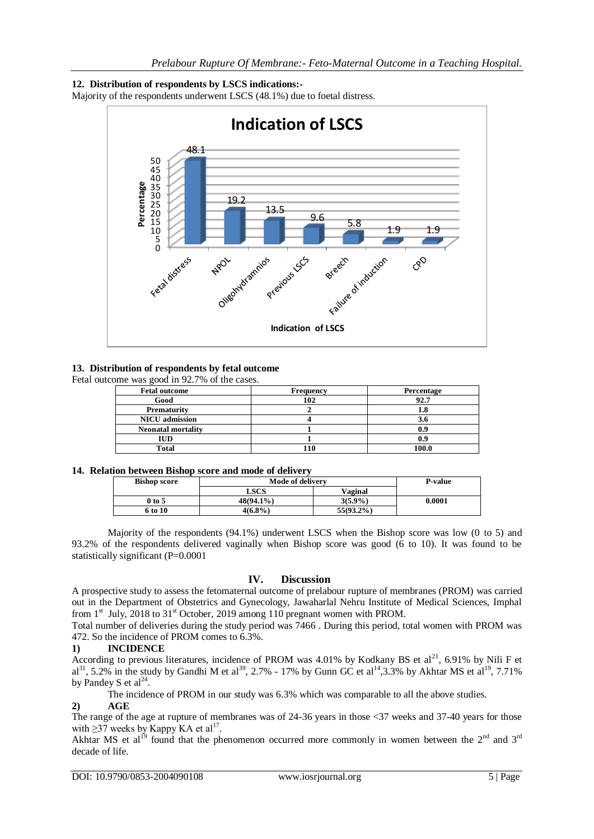## **12. Distribution of respondents by LSCS indications:-**

Majority of the respondents underwent LSCS (48.1%) due to foetal distress.



## **13. Distribution of respondents by fetal outcome**

Fetal outcome was good in 92.7% of the cases.

| <b>Fetal outcome</b>      | <b>Frequency</b> | Percentage |
|---------------------------|------------------|------------|
| Good                      | 102              | 92.7       |
| Prematurity               |                  |            |
| <b>NICU</b> admission     |                  |            |
| <b>Neonatal mortality</b> |                  |            |
| IUD                       |                  |            |
| Total                     | 10               | 100.0      |

### **14. Relation between Bishop score and mode of delivery**

| <b>Bishop score</b> | <b>Mode of delivery</b> |              | <b>P-value</b> |
|---------------------|-------------------------|--------------|----------------|
|                     | LSCS                    | Vaginal      |                |
| 0 to 5              | $48(94.1\%)$            | $3(5.9\%)$   | 0.0001         |
| 6 to 10             | 4(6.8%)                 | $55(93.2\%)$ |                |

Majority of the respondents (94.1%) underwent LSCS when the Bishop score was low (0 to 5) and 93.2% of the respondents delivered vaginally when Bishop score was good (6 to 10). It was found to be statistically significant (P=0.0001

## **IV. Discussion**

A prospective study to assess the fetomaternal outcome of prelabour rupture of membranes (PROM) was carried out in the Department of Obstetrics and Gynecology, Jawaharlal Nehru Institute of Medical Sciences, Imphal from  $1<sup>st</sup>$  July, 2018 to 31<sup>st</sup> October, 2019 among 110 pregnant women with PROM.

Total number of deliveries during the study period was 7466 . During this period, total women with PROM was 472. So the incidence of PROM comes to 6.3%.

## **1) INCIDENCE**

According to previous literatures, incidence of PROM was 4.01% by Kodkany BS et al<sup>21</sup>, 6.91% by Nili F et  $a1^{31}$ , 5.2% in the study by Gandhi M et al<sup>39</sup>, 2.7% - 17% by Gunn GC et al<sup>14</sup>, 3.3% by Akhtar MS et al<sup>19</sup>, 7.71% by Pandey S et  $al^{24}$ .

The incidence of PROM in our study was 6.3% which was comparable to all the above studies.

## **2) AGE**

The range of the age at rupture of membranes was of 24-36 years in those <37 weeks and 37-40 years for those with  $\geq$ 37 weeks by Kappy KA et al<sup>17</sup>.

Akhtar MS et al<sup>19</sup> found that the phenomenon occurred more commonly in women between the 2<sup>nd</sup> and 3<sup>rd</sup> decade of life.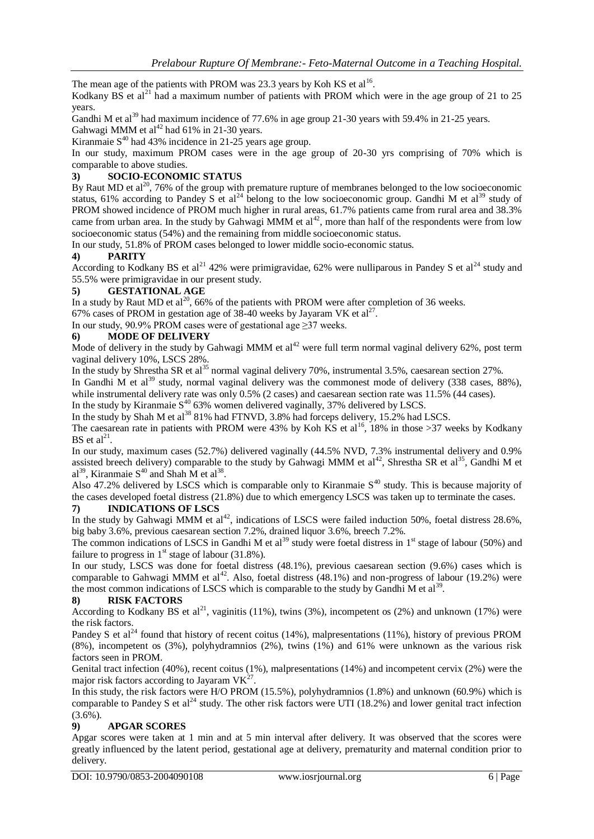The mean age of the patients with PROM was 23.3 years by Koh KS et al<sup>16</sup>.

Kodkany BS et al<sup>21</sup> had a maximum number of patients with PROM which were in the age group of 21 to 25 years.

Gandhi M et al<sup>39</sup> had maximum incidence of 77.6% in age group 21-30 years with 59.4% in 21-25 years. Gahwagi MMM et al<sup>42</sup> had 61% in 21-30 years.

Kiranmaie  $S^{40}$  had 43% incidence in 21-25 years age group.

In our study, maximum PROM cases were in the age group of 20-30 yrs comprising of 70% which is comparable to above studies.

## **3) SOCIO-ECONOMIC STATUS**

By Raut MD et  $al^{20}$ , 76% of the group with premature rupture of membranes belonged to the low socioeconomic status, 61% according to Pandey S et al<sup>24</sup> belong to the low socioeconomic group. Gandhi M et al<sup>39</sup> study of PROM showed incidence of PROM much higher in rural areas, 61.7% patients came from rural area and 38.3% came from urban area. In the study by Gahwagi MMM et  $al^{42}$ , more than half of the respondents were from low socioeconomic status (54%) and the remaining from middle socioeconomic status.

In our study, 51.8% of PROM cases belonged to lower middle socio-economic status.

## **4) PARITY**

According to Kodkany BS et al<sup>21</sup> 42% were primigravidae, 62% were nulliparous in Pandey S et al<sup>24</sup> study and 55.5% were primigravidae in our present study.

## **5) GESTATIONAL AGE**

In a study by Raut MD et al<sup>20</sup>, 66% of the patients with PROM were after completion of 36 weeks.

67% cases of PROM in gestation age of 38-40 weeks by Jayaram VK et al<sup>27</sup>.

In our study, 90.9% PROM cases were of gestational age  $\geq$ 37 weeks.

## **6) MODE OF DELIVERY**

Mode of delivery in the study by Gahwagi MMM et  $al<sup>42</sup>$  were full term normal vaginal delivery 62%, post term vaginal delivery 10%, LSCS 28%.

In the study by Shrestha SR et al<sup>35</sup> normal vaginal delivery 70%, instrumental 3.5%, caesarean section 27%.

In Gandhi M et al<sup>39</sup> study, normal vaginal delivery was the commonest mode of delivery (338 cases, 88%), while instrumental delivery rate was only 0.5% (2 cases) and caesarean section rate was 11.5% (44 cases).

In the study by Kiranmaie  $S^{40}$  63% women delivered vaginally, 37% delivered by LSCS.

In the study by Shah M et al<sup>38</sup> 81% had FTNVD, 3.8% had forceps delivery, 15.2% had LSCS.

The caesarean rate in patients with PROM were 43% by Koh KS et al<sup>16</sup>, 18% in those >37 weeks by Kodkany BS et  $al^{21}$ .

In our study, maximum cases (52.7%) delivered vaginally (44.5% NVD, 7.3% instrumental delivery and 0.9% assisted breech delivery) comparable to the study by Gahwagi MMM et  $al^{42}$ , Shrestha SR et al<sup>35</sup>, Gandhi M et al<sup>39</sup>, Kiranmaie  $S^{40}$  and Shah M et al<sup>38</sup>.

Also 47.2% delivered by LSCS which is comparable only to Kiranmaie  $S^{40}$  study. This is because majority of the cases developed foetal distress (21.8%) due to which emergency LSCS was taken up to terminate the cases.

## **7) INDICATIONS OF LSCS**

In the study by Gahwagi MMM et al<sup>42</sup>, indications of LSCS were failed induction 50%, foetal distress 28.6%, big baby 3.6%, previous caesarean section 7.2%, drained liquor 3.6%, breech 7.2%.

The common indications of LSCS in Gandhi M et al<sup>39</sup> study were foetal distress in  $1<sup>st</sup>$  stage of labour (50%) and failure to progress in  $1<sup>st</sup>$  stage of labour (31.8%).

In our study, LSCS was done for foetal distress (48.1%), previous caesarean section (9.6%) cases which is comparable to Gahwagi MMM et al<sup>42</sup>. Also, foetal distress (48.1%) and non-progress of labour (19.2%) were the most common indications of LSCS which is comparable to the study by Gandhi M et al<sup>39</sup>.

### **8) RISK FACTORS**

According to Kodkany BS et al<sup>21</sup>, vaginitis (11%), twins (3%), incompetent os (2%) and unknown (17%) were the risk factors.

Pandey S et al<sup>24</sup> found that history of recent coitus (14%), malpresentations (11%), history of previous PROM (8%), incompetent os (3%), polyhydramnios (2%), twins (1%) and 61% were unknown as the various risk factors seen in PROM.

Genital tract infection (40%), recent coitus (1%), malpresentations (14%) and incompetent cervix (2%) were the major risk factors according to Jayaram  $VK^{27}$ .

In this study, the risk factors were H/O PROM (15.5%), polyhydramnios (1.8%) and unknown (60.9%) which is comparable to Pandey S et al<sup>24</sup> study. The other risk factors were UTI (18.2%) and lower genital tract infection  $(3.6\%)$ .

## **9) APGAR SCORES**

Apgar scores were taken at 1 min and at 5 min interval after delivery. It was observed that the scores were greatly influenced by the latent period, gestational age at delivery, prematurity and maternal condition prior to delivery.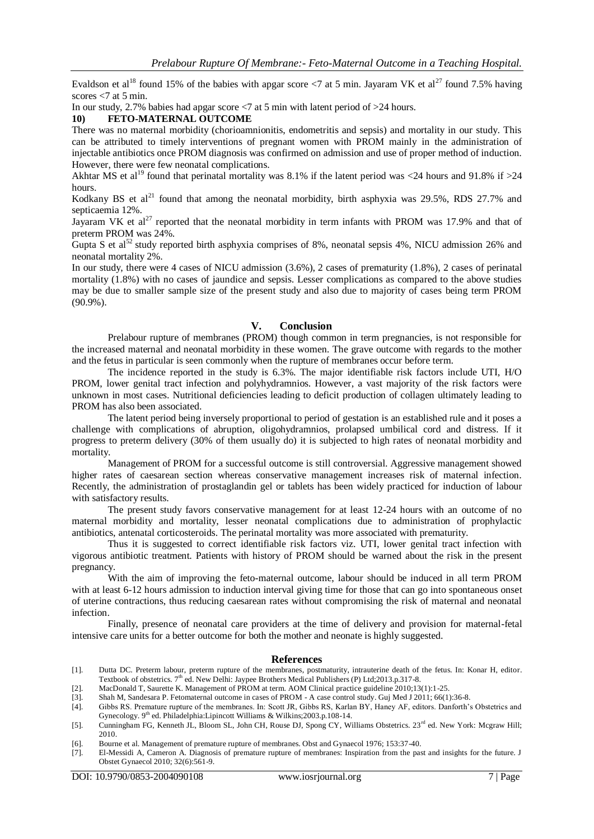Evaldson et al<sup>18</sup> found 15% of the babies with apgar score  $\langle 7 \rangle$  at 5 min. Jayaram VK et al<sup>27</sup> found 7.5% having scores <7 at 5 min.

In our study, 2.7% babies had apgar score <7 at 5 min with latent period of >24 hours.

### **10) FETO-MATERNAL OUTCOME**

There was no maternal morbidity (chorioamnionitis, endometritis and sepsis) and mortality in our study. This can be attributed to timely interventions of pregnant women with PROM mainly in the administration of injectable antibiotics once PROM diagnosis was confirmed on admission and use of proper method of induction. However, there were few neonatal complications.

Akhtar MS et al<sup>19</sup> found that perinatal mortality was 8.1% if the latent period was <24 hours and 91.8% if >24 hours.

Kodkany BS et  $al^{21}$  found that among the neonatal morbidity, birth asphyxia was 29.5%, RDS 27.7% and septicaemia 12%.

Jayaram VK et al<sup>27</sup> reported that the neonatal morbidity in term infants with PROM was 17.9% and that of preterm PROM was 24%.

Gupta S et al<sup>52</sup> study reported birth asphyxia comprises of 8%, neonatal sepsis 4%, NICU admission 26% and neonatal mortality 2%.

In our study, there were 4 cases of NICU admission (3.6%), 2 cases of prematurity (1.8%), 2 cases of perinatal mortality (1.8%) with no cases of jaundice and sepsis. Lesser complications as compared to the above studies may be due to smaller sample size of the present study and also due to majority of cases being term PROM (90.9%).

## **V. Conclusion**

Prelabour rupture of membranes (PROM) though common in term pregnancies, is not responsible for the increased maternal and neonatal morbidity in these women. The grave outcome with regards to the mother and the fetus in particular is seen commonly when the rupture of membranes occur before term.

The incidence reported in the study is 6.3%. The major identifiable risk factors include UTI, H/O PROM, lower genital tract infection and polyhydramnios. However, a vast majority of the risk factors were unknown in most cases. Nutritional deficiencies leading to deficit production of collagen ultimately leading to PROM has also been associated.

The latent period being inversely proportional to period of gestation is an established rule and it poses a challenge with complications of abruption, oligohydramnios, prolapsed umbilical cord and distress. If it progress to preterm delivery (30% of them usually do) it is subjected to high rates of neonatal morbidity and mortality.

Management of PROM for a successful outcome is still controversial. Aggressive management showed higher rates of caesarean section whereas conservative management increases risk of maternal infection. Recently, the administration of prostaglandin gel or tablets has been widely practiced for induction of labour with satisfactory results.

The present study favors conservative management for at least 12-24 hours with an outcome of no maternal morbidity and mortality, lesser neonatal complications due to administration of prophylactic antibiotics, antenatal corticosteroids. The perinatal mortality was more associated with prematurity.

Thus it is suggested to correct identifiable risk factors viz. UTI, lower genital tract infection with vigorous antibiotic treatment. Patients with history of PROM should be warned about the risk in the present pregnancy.

With the aim of improving the feto-maternal outcome, labour should be induced in all term PROM with at least 6-12 hours admission to induction interval giving time for those that can go into spontaneous onset of uterine contractions, thus reducing caesarean rates without compromising the risk of maternal and neonatal infection.

Finally, presence of neonatal care providers at the time of delivery and provision for maternal-fetal intensive care units for a better outcome for both the mother and neonate is highly suggested.

#### **References**

- [1]. Dutta DC. Preterm labour, preterm rupture of the membranes, postmaturity, intrauterine death of the fetus. In: Konar H, editor. Textbook of obstetrics. 7<sup>th</sup> ed. New Delhi: Jaypee Brothers Medical Publishers (P) Ltd;2013.p.317-8.
- [2]. MacDonald T, Saurette K. Management of PROM at term. AOM Clinical practice guideline 2010;13(1):1-25.
- [3]. Shah M, Sandesara P. Fetomaternal outcome in cases of PROM A case control study. Guj Med J 2011; 66(1):36-8.
- [4]. Gibbs RS. Premature rupture of the membranes. In: Scott JR, Gibbs RS, Karlan BY, Haney AF, editors. Danforth's Obstetrics and Gynecology. 9<sup>th</sup> ed. Philadelphia:Lipincott Williams & Wilkins; 2003.p.108-14.
- [5]. Cunningham FG, Kenneth JL, Bloom SL, John CH, Rouse DJ, Spong CY, Williams Obstetrics. 23<sup>rd</sup> ed. New York: Mcgraw Hill; 2010.
- [6]. Bourne et al. Management of premature rupture of membranes. Obst and Gynaecol 1976; 153:37-40.
- [7]. El-Messidi A, Cameron A. Diagnosis of premature rupture of membranes: Inspiration from the past and insights for the future. J Obstet Gynaecol 2010; 32(6):561-9.